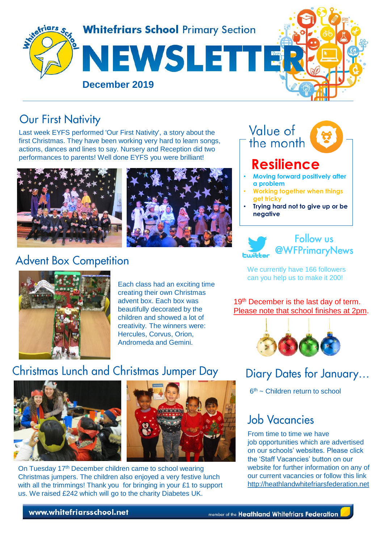

## **Our First Nativity**

Last week EYFS performed 'Our First Nativity', a story about the first Christmas. They have been working very hard to learn songs, actions, dances and lines to say. Nursery and Reception did two performances to parents! Well done EYFS you were brilliant!



# **Advent Box Competition**



Each class had an exciting time creating their own Christmas advent box. Each box was beautifully decorated by the children and showed a lot of creativity. The winners were: Hercules, Corvus, Orion, Andromeda and Gemini.

# **Christmas Lunch and Christmas Jumper Day**





On Tuesday 17<sup>th</sup> December children came to school wearing Christmas jumpers. The children also enjoyed a very festive lunch with all the trimmings! Thank you for bringing in your £1 to support us. We raised £242 which will go to the charity Diabetes UK.



Follow us **@WFPrimaryNews** 

We currently have 166 followers can you help us to make it 200!

19<sup>th</sup> December is the last day of term. Please note that school finishes at 2pm.



Diary Dates for January...

6<sup>th</sup> ~ Children return to school

# **Job Vacancies**

From time to time we have job opportunities which are advertised on our schools' websites. Please click the 'Staff Vacancies' button on our website for further information on any of our current vacancies or follow this link [http://heathlandwhitefriarsfederation.net](http://heathlandwhitefriarsfederation.net/)

#### www.whitefriarsschool.net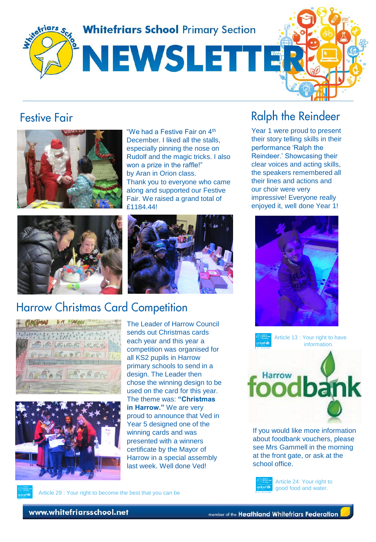**Whitefriars School Primary Section** 

# NEWSLETTE





"We had a Festive Fair on 4th December. I liked all the stalls, especially pinning the nose on Rudolf and the magic tricks. I also won a prize in the raffle!" by Aran in Orion class. Thank you to everyone who came along and supported our Festive Fair. We raised a grand total of £1184.44!





# **Harrow Christmas Card Competition**





The Leader of Harrow Council sends out Christmas cards each year and this year a competition was organised for all KS2 pupils in Harrow primary schools to send in a design. The Leader then chose the winning design to be used on the card for this year. The theme was: **"Christmas in Harrow."** We are very proud to announce that Ved in Year 5 designed one of the winning cards and was presented with a winners certificate by the Mayor of Harrow in a special assembly last week. Well done Ved!

# **Ralph the Reindeer**

Year 1 were proud to present their story telling skills in their performance 'Ralph the Reindeer.' Showcasing their clear voices and acting skills, the speakers remembered all their lines and actions and our choir were very impressive! Everyone really enjoyed it, well done Year 1!





If you would like more information about foodbank vouchers, please see Mrs Gammell in the morning at the front gate, or ask at the school office.



Article 24: Your right to good food and water.

Article 29 : Your right to become the best that you can be